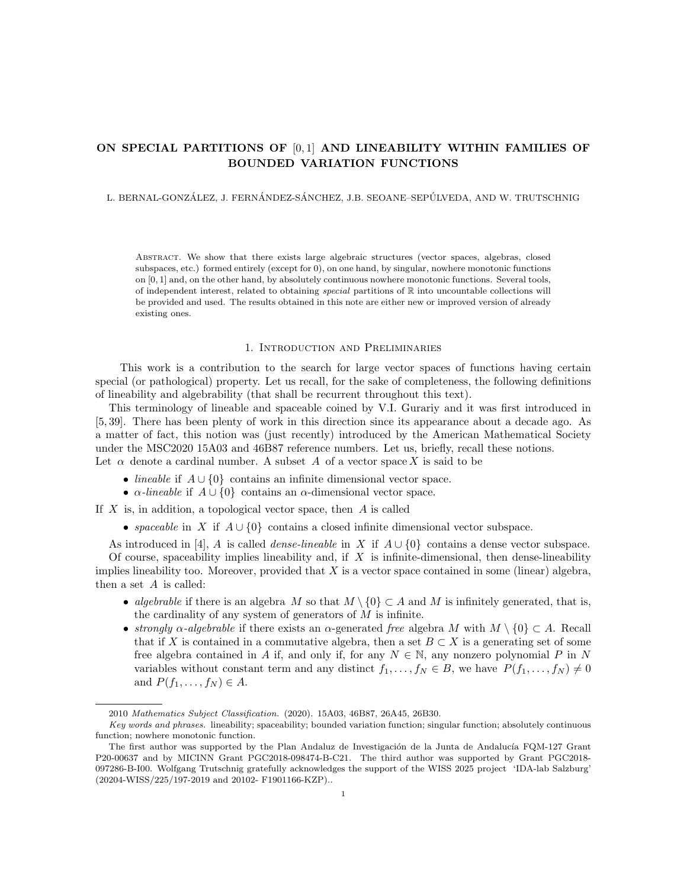# ON SPECIAL PARTITIONS OF  $[0,1]$  AND LINEABILITY WITHIN FAMILIES OF BOUNDED VARIATION FUNCTIONS

## L. BERNAL-GONZÁLEZ, J. FERNÁNDEZ-SÁNCHEZ, J.B. SEOANE–SEPÚLVEDA, AND W. TRUTSCHNIG

Abstract. We show that there exists large algebraic structures (vector spaces, algebras, closed subspaces, etc.) formed entirely (except for 0), on one hand, by singular, nowhere monotonic functions on [0, 1] and, on the other hand, by absolutely continuous nowhere monotonic functions. Several tools, of independent interest, related to obtaining special partitions of R into uncountable collections will be provided and used. The results obtained in this note are either new or improved version of already existing ones.

#### 1. Introduction and Preliminaries

This work is a contribution to the search for large vector spaces of functions having certain special (or pathological) property. Let us recall, for the sake of completeness, the following definitions of lineability and algebrability (that shall be recurrent throughout this text).

This terminology of lineable and spaceable coined by V.I. Gurariy and it was first introduced in [5, 39]. There has been plenty of work in this direction since its appearance about a decade ago. As a matter of fact, this notion was (just recently) introduced by the American Mathematical Society under the MSC2020 15A03 and 46B87 reference numbers. Let us, briefly, recall these notions. Let  $\alpha$  denote a cardinal number. A subset A of a vector space X is said to be

- *lineable* if  $A \cup \{0\}$  contains an infinite dimensional vector space.
- $\alpha$ -lineable if  $A \cup \{0\}$  contains an  $\alpha$ -dimensional vector space.

If  $X$  is, in addition, a topological vector space, then  $A$  is called

• spaceable in X if  $A \cup \{0\}$  contains a closed infinite dimensional vector subspace.

As introduced in [4], A is called *dense-lineable* in X if  $A \cup \{0\}$  contains a dense vector subspace.

Of course, spaceability implies lineability and, if  $X$  is infinite-dimensional, then dense-lineability implies lineability too. Moreover, provided that  $X$  is a vector space contained in some (linear) algebra, then a set  $A$  is called:

- algebrable if there is an algebra M so that  $M \setminus \{0\} \subset A$  and M is infinitely generated, that is, the cardinality of any system of generators of  $M$  is infinite.
- strongly  $\alpha$ -algebrable if there exists an  $\alpha$ -generated free algebra M with  $M \setminus \{0\} \subset A$ . Recall that if X is contained in a commutative algebra, then a set  $B \subset X$  is a generating set of some free algebra contained in A if, and only if, for any  $N \in \mathbb{N}$ , any nonzero polynomial P in N variables without constant term and any distinct  $f_1, \ldots, f_N \in B$ , we have  $P(f_1, \ldots, f_N) \neq 0$ and  $P(f_1, \ldots, f_N) \in A$ .

<sup>2010</sup> Mathematics Subject Classification. (2020). 15A03, 46B87, 26A45, 26B30.

Key words and phrases. lineability; spaceability; bounded variation function; singular function; absolutely continuous function; nowhere monotonic function.

The first author was supported by the Plan Andaluz de Investigación de la Junta de Andalucía FQM-127 Grant P20-00637 and by MICINN Grant PGC2018-098474-B-C21. The third author was supported by Grant PGC2018- 097286-B-I00. Wolfgang Trutschnig gratefully acknowledges the support of the WISS 2025 project 'IDA-lab Salzburg' (20204-WISS/225/197-2019 and 20102- F1901166-KZP)..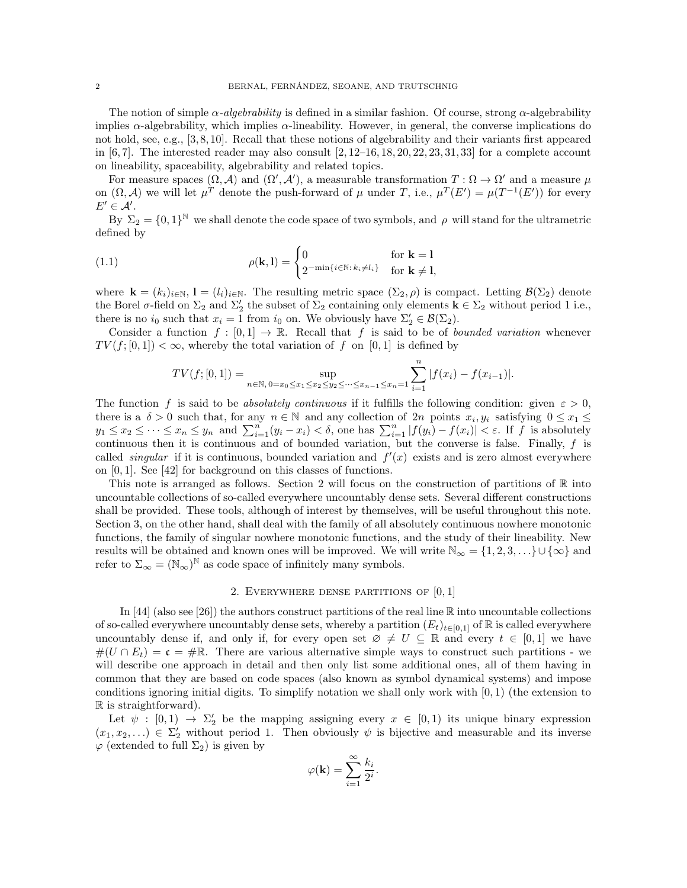The notion of simple  $\alpha$ -algebrability is defined in a similar fashion. Of course, strong  $\alpha$ -algebrability implies α-algebrability, which implies α-lineability. However, in general, the converse implications do not hold, see, e.g., [3, 8, 10]. Recall that these notions of algebrability and their variants first appeared in  $[6, 7]$ . The interested reader may also consult  $[2, 12-16, 18, 20, 22, 23, 31, 33]$  for a complete account on lineability, spaceability, algebrability and related topics.

For measure spaces  $(\Omega, \mathcal{A})$  and  $(\Omega', \mathcal{A}')$ , a measurable transformation  $T : \Omega \to \Omega'$  and a measure  $\mu$ on  $(\Omega, \mathcal{A})$  we will let  $\mu^T$  denote the push-forward of  $\mu$  under T, i.e.,  $\mu^T(E') = \mu(T^{-1}(E'))$  for every  $E' \in \mathcal{A}'$ .

By  $\Sigma_2 = \{0,1\}^{\mathbb{N}}$  we shall denote the code space of two symbols, and  $\rho$  will stand for the ultrametric defined by

(1.1) 
$$
\rho(\mathbf{k}, \mathbf{l}) = \begin{cases} 0 & \text{for } \mathbf{k} = 1 \\ 2^{-\min\{i \in \mathbb{N} : k_i \neq l_i\}} & \text{for } \mathbf{k} \neq \mathbf{l}, \end{cases}
$$

where  $\mathbf{k} = (k_i)_{i \in \mathbb{N}}, \mathbf{l} = (l_i)_{i \in \mathbb{N}}$ . The resulting metric space  $(\Sigma_2, \rho)$  is compact. Letting  $\mathcal{B}(\Sigma_2)$  denote the Borel  $\sigma$ -field on  $\Sigma_2$  and  $\Sigma_2'$  the subset of  $\Sigma_2$  containing only elements  $\mathbf{k} \in \Sigma_2$  without period 1 i.e., there is no  $i_0$  such that  $x_i = 1$  from  $i_0$  on. We obviously have  $\Sigma'_2 \in \mathcal{B}(\Sigma_2)$ .

Consider a function  $f : [0,1] \to \mathbb{R}$ . Recall that f is said to be of *bounded variation* whenever  $TV(f; [0, 1]) < \infty$ , whereby the total variation of f on [0, 1] is defined by

$$
TV(f;[0,1]) = \sup_{n \in \mathbb{N}, 0 = x_0 \le x_1 \le x_2 \le y_2 \le \dots \le x_{n-1} \le x_n = 1} \sum_{i=1}^n |f(x_i) - f(x_{i-1})|.
$$

The function f is said to be absolutely continuous if it fulfills the following condition: given  $\varepsilon > 0$ , there is a  $\delta > 0$  such that, for any  $n \in \mathbb{N}$  and any collection of  $2n$  points  $x_i, y_i$  satisfying  $0 \le x_1 \le$  $y_1 \leq x_2 \leq \cdots \leq x_n \leq y_n$  and  $\sum_{i=1}^n (y_i - x_i) < \delta$ , one has  $\sum_{i=1}^n |f(y_i) - f(x_i)| < \varepsilon$ . If f is absolutely continuous then it is continuous and of bounded variation, but the converse is false. Finally,  $f$  is called *singular* if it is continuous, bounded variation and  $f'(x)$  exists and is zero almost everywhere on [0, 1]. See [42] for background on this classes of functions.

This note is arranged as follows. Section 2 will focus on the construction of partitions of  $\mathbb R$  into uncountable collections of so-called everywhere uncountably dense sets. Several different constructions shall be provided. These tools, although of interest by themselves, will be useful throughout this note. Section 3, on the other hand, shall deal with the family of all absolutely continuous nowhere monotonic functions, the family of singular nowhere monotonic functions, and the study of their lineability. New results will be obtained and known ones will be improved. We will write  $\mathbb{N}_{\infty} = \{1, 2, 3, \ldots\} \cup \{\infty\}$  and refer to  $\Sigma_{\infty} = (\mathbb{N}_{\infty})^{\mathbb{N}}$  as code space of infinitely many symbols.

## 2. EVERYWHERE DENSE PARTITIONS OF  $[0, 1]$

In [44] (also see [26]) the authors construct partitions of the real line  $\mathbb R$  into uncountable collections of so-called everywhere uncountably dense sets, whereby a partition  $(E_t)_{t\in[0,1]}$  of R is called everywhere uncountably dense if, and only if, for every open set  $\emptyset \neq U \subseteq \mathbb{R}$  and every  $t \in [0,1]$  we have  $\#(U \cap E_t) = \mathfrak{c} = \# \mathbb{R}$ . There are various alternative simple ways to construct such partitions - we will describe one approach in detail and then only list some additional ones, all of them having in common that they are based on code spaces (also known as symbol dynamical systems) and impose conditions ignoring initial digits. To simplify notation we shall only work with  $[0, 1)$  (the extension to R is straightforward).

Let  $\psi : [0,1) \to \Sigma_2'$  be the mapping assigning every  $x \in [0,1)$  its unique binary expression  $(x_1, x_2, \ldots) \in \Sigma'_2$  without period 1. Then obviously  $\psi$  is bijective and measurable and its inverse  $\varphi$  (extended to full  $\Sigma_2$ ) is given by

$$
\varphi(\mathbf{k}) = \sum_{i=1}^{\infty} \frac{k_i}{2^i}.
$$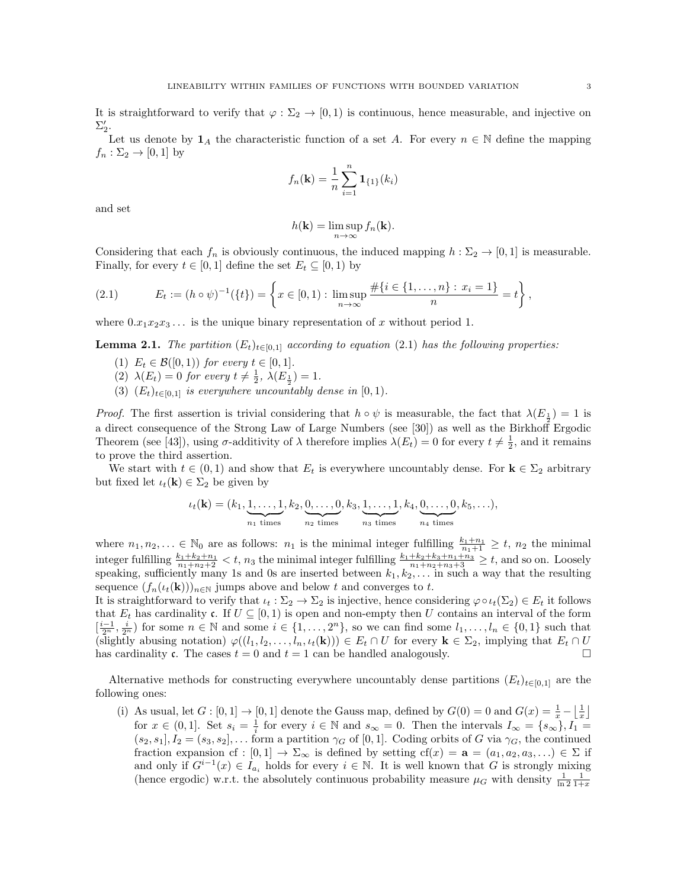It is straightforward to verify that  $\varphi : \Sigma_2 \to [0, 1)$  is continuous, hence measurable, and injective on  $\Sigma_2'.$ 

Let us denote by  $1_A$  the characteristic function of a set A. For every  $n \in \mathbb{N}$  define the mapping  $f_n : \Sigma_2 \to [0,1]$  by

$$
f_n(\mathbf{k}) = \frac{1}{n} \sum_{i=1}^n \mathbf{1}_{\{1\}}(k_i)
$$

and set

$$
h(\mathbf{k}) = \limsup_{n \to \infty} f_n(\mathbf{k}).
$$

Considering that each  $f_n$  is obviously continuous, the induced mapping  $h : \Sigma_2 \to [0, 1]$  is measurable. Finally, for every  $t \in [0, 1]$  define the set  $E_t \subseteq [0, 1)$  by

(2.1) 
$$
E_t := (h \circ \psi)^{-1}(\{t\}) = \left\{ x \in [0,1) : \limsup_{n \to \infty} \frac{\#\{i \in \{1, \ldots, n\} : x_i = 1\}}{n} = t \right\},\,
$$

where  $0.x_1x_2x_3...$  is the unique binary representation of x without period 1.

**Lemma 2.1.** The partition  $(E_t)_{t\in[0,1]}$  according to equation (2.1) has the following properties:

- (1)  $E_t \in \mathcal{B}([0,1))$  for every  $t \in [0,1]$ .
- (2)  $\lambda(E_t) = 0$  for every  $t \neq \frac{1}{2}$ ,  $\lambda(E_{\frac{1}{2}}) = 1$ .
- (3)  $(E_t)_{t\in[0,1]}$  is everywhere uncountably dense in  $[0,1)$ .

*Proof.* The first assertion is trivial considering that  $h \circ \psi$  is measurable, the fact that  $\lambda(E_{\frac{1}{2}}) = 1$  is a direct consequence of the Strong Law of Large Numbers (see [30]) as well as the Birkhoff Ergodic Theorem (see [43]), using  $\sigma$ -additivity of  $\lambda$  therefore implies  $\lambda(E_t) = 0$  for every  $t \neq \frac{1}{2}$ , and it remains to prove the third assertion.

We start with  $t \in (0,1)$  and show that  $E_t$  is everywhere uncountably dense. For  $\mathbf{k} \in \Sigma_2$  arbitrary but fixed let  $\iota_t(\mathbf{k}) \in \Sigma_2$  be given by

$$
\iota_t(\mathbf{k}) = (k_1, \underbrace{1, \ldots, 1}_{n_1 \text{ times}}, k_2, \underbrace{0, \ldots, 0}_{n_2 \text{ times}}, k_3, \underbrace{1, \ldots, 1}_{n_3 \text{ times}}, k_4, \underbrace{0, \ldots, 0}_{n_4 \text{ times}}, k_5, \ldots),
$$

where  $n_1, n_2, \ldots \in \mathbb{N}_0$  are as follows:  $n_1$  is the minimal integer fulfilling  $\frac{k_1+n_1}{n_1+1} \geq t$ ,  $n_2$  the minimal integer fulfilling  $\frac{k_1+k_2+n_1}{n_1+n_2+2} < t$ ,  $n_3$  the minimal integer fulfilling  $\frac{k_1+k_2+k_3+n_1+n_3}{n_1+n_2+n_3+3} \ge t$ , and so on. Loosely speaking, sufficiently many 1s and 0s are inserted between  $k_1, k_2, \ldots$  in such a way that the resulting sequence  $(f_n(\iota_t(\mathbf{k})))_{n\in\mathbb{N}}$  jumps above and below t and converges to t.

It is straightforward to verify that  $\iota_t : \Sigma_2 \to \Sigma_2$  is injective, hence considering  $\varphi \circ \iota_t(\Sigma_2) \in E_t$  it follows that  $E_t$  has cardinality c. If  $U \subseteq [0, 1)$  is open and non-empty then U contains an interval of the form  $\left[\frac{i-1}{2^n},\frac{i}{2^n}\right]$  for some  $n \in \mathbb{N}$  and some  $i \in \{1,\ldots,2^n\}$ , so we can find some  $l_1,\ldots,l_n \in \{0,1\}$  such that (slightly abusing notation)  $\varphi((l_1, l_2, \ldots, l_n, \iota_t(\mathbf{k}))) \in E_t \cap U$  for every  $\mathbf{k} \in \Sigma_2$ , implying that  $E_t \cap U$ has cardinality c. The cases  $t = 0$  and  $t = 1$  can be handled analogously.

Alternative methods for constructing everywhere uncountably dense partitions  $(E_t)_{t\in[0,1]}$  are the following ones:

(i) As usual, let  $G : [0,1] \to [0,1]$  denote the Gauss map, defined by  $G(0) = 0$  and  $G(x) = \frac{1}{x} - \left\lfloor \frac{1}{x} \right\rfloor$ for  $x \in (0,1]$ . Set  $s_i = \frac{1}{i}$  for every  $i \in \mathbb{N}$  and  $s_{\infty} = 0$ . Then the intervals  $I_{\infty} = \{s_{\infty}\}, I_1 =$  $(s_2, s_1], I_2 = (s_3, s_2], \ldots$  form a partition  $\gamma_G$  of [0, 1]. Coding orbits of G via  $\gamma_G$ , the continued fraction expansion cf :  $[0,1] \to \Sigma_{\infty}$  is defined by setting cf(x) =  $\mathbf{a} = (a_1, a_2, a_3, \ldots) \in \Sigma$  if and only if  $G^{i-1}(x) \in I_{a_i}$  holds for every  $i \in \mathbb{N}$ . It is well known that G is strongly mixing (hence ergodic) w.r.t. the absolutely continuous probability measure  $\mu_G$  with density  $\frac{1}{\ln 2} \frac{1}{1+x}$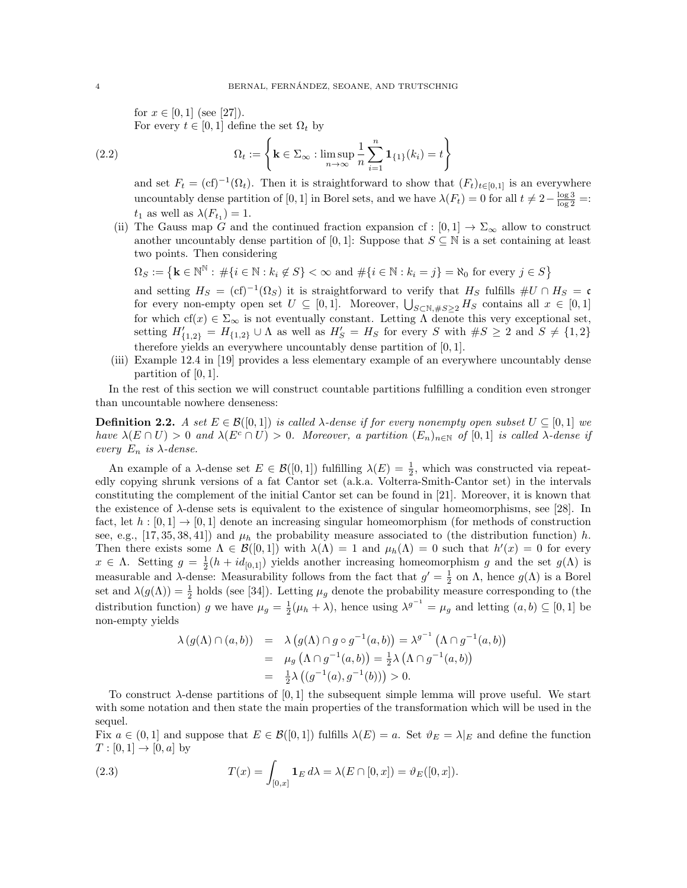for  $x \in [0,1]$  (see [27]).

For every  $t \in [0, 1]$  define the set  $\Omega_t$  by

(2.2) 
$$
\Omega_t := \left\{ \mathbf{k} \in \Sigma_\infty : \limsup_{n \to \infty} \frac{1}{n} \sum_{i=1}^n \mathbf{1}_{\{1\}}(k_i) = t \right\}
$$

and set  $F_t = (cf)^{-1}(\Omega_t)$ . Then it is straightforward to show that  $(F_t)_{t \in [0,1]}$  is an everywhere uncountably dense partition of [0, 1] in Borel sets, and we have  $\lambda(F_t) = 0$  for all  $t \neq 2 - \frac{\log 3}{\log 2} =$ :  $t_1$  as well as  $\lambda(F_{t_1}) = 1$ .

(ii) The Gauss map G and the continued fraction expansion cf :  $[0,1] \rightarrow \Sigma_{\infty}$  allow to construct another uncountably dense partition of [0,1]: Suppose that  $S \subseteq \mathbb{N}$  is a set containing at least two points. Then considering

$$
\Omega_S := \left\{ \mathbf{k} \in \mathbb{N}^\mathbb{N} : \#\{i \in \mathbb{N} : k_i \notin S\} < \infty \text{ and } \#\{i \in \mathbb{N} : k_i = j\} = \aleph_0 \text{ for every } j \in S \right\}
$$

and setting  $H_S = (cf)^{-1}(\Omega_S)$  it is straightforward to verify that  $H_S$  fulfills  $\#U \cap H_S = \mathfrak{c}$ for every non-empty open set  $U \subseteq [0,1]$ . Moreover,  $\bigcup_{S \subset \mathbb{N}, \#S \geq 2} H_S$  contains all  $x \in [0,1]$ for which cf(x)  $\in \Sigma_{\infty}$  is not eventually constant. Letting  $\Lambda$  denote this very exceptional set, setting  $H'_{\{1,2\}} = H_{\{1,2\}} \cup \Lambda$  as well as  $H'_{S} = H_{S}$  for every S with  $\#S \geq 2$  and  $S \neq \{1,2\}$ therefore yields an everywhere uncountably dense partition of [0, 1].

(iii) Example 12.4 in [19] provides a less elementary example of an everywhere uncountably dense partition of  $[0, 1]$ .

In the rest of this section we will construct countable partitions fulfilling a condition even stronger than uncountable nowhere denseness:

**Definition 2.2.** A set  $E \in \mathcal{B}([0,1])$  is called  $\lambda$ -dense if for every nonempty open subset  $U \subseteq [0,1]$  we have  $\lambda(E \cap U) > 0$  and  $\lambda(E^c \cap U) > 0$ . Moreover, a partition  $(E_n)_{n \in \mathbb{N}}$  of  $[0,1]$  is called  $\lambda$ -dense if every  $E_n$  is  $\lambda$ -dense.

An example of a  $\lambda$ -dense set  $E \in \mathcal{B}([0,1])$  fulfilling  $\lambda(E) = \frac{1}{2}$ , which was constructed via repeatedly copying shrunk versions of a fat Cantor set (a.k.a. Volterra-Smith-Cantor set) in the intervals constituting the complement of the initial Cantor set can be found in [21]. Moreover, it is known that the existence of  $\lambda$ -dense sets is equivalent to the existence of singular homeomorphisms, see [28]. In fact, let  $h : [0, 1] \rightarrow [0, 1]$  denote an increasing singular homeomorphism (for methods of construction see, e.g., [17, 35, 38, 41]) and  $\mu_h$  the probability measure associated to (the distribution function) h. Then there exists some  $\Lambda \in \mathcal{B}([0,1])$  with  $\lambda(\Lambda) = 1$  and  $\mu_h(\Lambda) = 0$  such that  $h'(x) = 0$  for every  $x \in \Lambda$ . Setting  $g = \frac{1}{2}(h + id_{[0,1]})$  yields another increasing homeomorphism g and the set  $g(\Lambda)$  is measurable and  $\lambda$ -dense: Measurability follows from the fact that  $g' = \frac{1}{2}$  on  $\Lambda$ , hence  $g(\Lambda)$  is a Borel set and  $\lambda(g(\Lambda)) = \frac{1}{2}$  holds (see [34]). Letting  $\mu_g$  denote the probability measure corresponding to (the distribution function) g we have  $\mu_g = \frac{1}{2}(\mu_h + \lambda)$ , hence using  $\lambda^{g^{-1}} = \mu_g$  and letting  $(a, b) \subseteq [0, 1]$  be non-empty yields

$$
\lambda(g(\Lambda) \cap (a, b)) = \lambda(g(\Lambda) \cap g \circ g^{-1}(a, b)) = \lambda^{g^{-1}} (\Lambda \cap g^{-1}(a, b))
$$
  
=  $\mu_g (\Lambda \cap g^{-1}(a, b)) = \frac{1}{2} \lambda (\Lambda \cap g^{-1}(a, b))$   
=  $\frac{1}{2} \lambda ((g^{-1}(a), g^{-1}(b))) > 0.$ 

To construct  $\lambda$ -dense partitions of [0, 1] the subsequent simple lemma will prove useful. We start with some notation and then state the main properties of the transformation which will be used in the sequel.

Fix  $a \in (0,1]$  and suppose that  $E \in \mathcal{B}([0,1])$  fulfills  $\lambda(E) = a$ . Set  $\vartheta_E = \lambda|_E$  and define the function  $T : [0,1] \rightarrow [0,a]$  by

(2.3) 
$$
T(x) = \int_{[0,x]} \mathbf{1}_E d\lambda = \lambda (E \cap [0,x]) = \vartheta_E([0,x]).
$$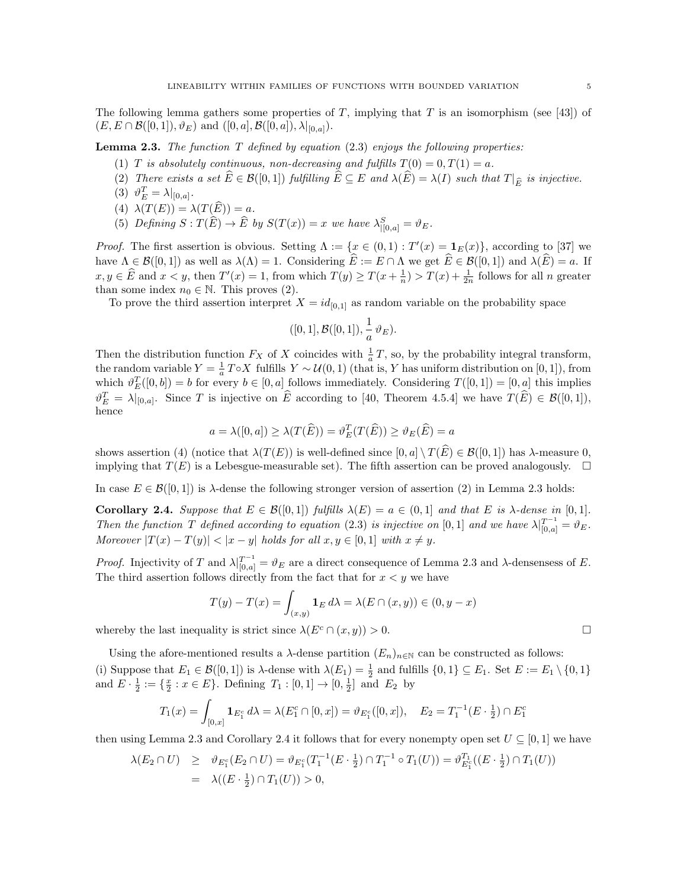The following lemma gathers some properties of T, implying that T is an isomorphism (see [43]) of  $(E, E \cap \mathcal{B}([0, 1]), \vartheta_E)$  and  $([0, a], \mathcal{B}([0, a]), \lambda|_{[0, a]}).$ 

**Lemma 2.3.** The function  $T$  defined by equation (2.3) enjoys the following properties:

- (1) T is absolutely continuous, non-decreasing and fulfills  $T(0) = 0, T(1) = a$ .
- (2) There exists a set  $\widehat{E} \in \mathcal{B}([0,1])$  fulfilling  $\widehat{E} \subseteq E$  and  $\lambda(\widehat{E}) = \lambda(I)$  such that  $T|_{\widehat{E}}$  is injective.
- (3)  $\vartheta_E^T = \lambda |_{[0,a]}$ .
- (4)  $\lambda(T(E)) = \lambda(T(\widehat{E})) = a.$
- (5) Defining  $S: T(\widehat{E}) \to \widehat{E}$  by  $S(T(x)) = x$  we have  $\lambda_{|[0,a]}^S = \vartheta_E$ .

*Proof.* The first assertion is obvious. Setting  $\Lambda := \{x \in (0,1) : T'(x) = \mathbf{1}_E(x)\}\text{, according to [37] we}$ have  $\Lambda \in \mathcal{B}([0,1])$  as well as  $\lambda(\Lambda) = 1$ . Considering  $\widehat{E} := E \cap \Lambda$  we get  $\widehat{E} \in \mathcal{B}([0,1])$  and  $\lambda(\widehat{E}) = a$ . If  $x, y \in \widehat{E}$  and  $x < y$ , then  $T'(x) = 1$ , from which  $T(y) \geq T(x + \frac{1}{n}) > T(x) + \frac{1}{2n}$  follows for all n greater than some index  $n_0 \in \mathbb{N}$ . This proves (2).

To prove the third assertion interpret  $X = id_{[0,1]}$  as random variable on the probability space

$$
([0,1],\mathcal{B}([0,1]), \frac{1}{a}\,\vartheta_E).
$$

Then the distribution function  $F_X$  of X coincides with  $\frac{1}{a}T$ , so, by the probability integral transform, the random variable  $Y = \frac{1}{a}T \circ X$  fulfills  $Y \sim \mathcal{U}(0, 1)$  (that is, Y has uniform distribution on [0, 1]), from which  $\vartheta_E^T([0, b]) = b$  for every  $b \in [0, a]$  follows immediately. Considering  $T([0, 1]) = [0, a]$  this implies  $\vartheta_E^T = \lambda|_{[0,a]}$ . Since T is injective on  $\widehat{E}$  according to [40, Theorem 4.5.4] we have  $T(\widehat{E}) \in \mathcal{B}([0,1]),$ hence

$$
a = \lambda([0, a]) \ge \lambda(T(\widehat{E})) = \vartheta_E^T(T(\widehat{E})) \ge \vartheta_E(\widehat{E}) = a
$$

shows assertion (4) (notice that  $\lambda(T(E))$  is well-defined since  $[0, a] \setminus T(\widehat{E}) \in \mathcal{B}([0, 1])$  has  $\lambda$ -measure 0, implying that  $T(E)$  is a Lebesgue-measurable set). The fifth assertion can be proved analogously.  $\Box$ 

In case  $E \in \mathcal{B}([0,1])$  is  $\lambda$ -dense the following stronger version of assertion (2) in Lemma 2.3 holds:

**Corollary 2.4.** Suppose that  $E \in \mathcal{B}([0,1])$  fulfills  $\lambda(E) = a \in (0,1]$  and that E is  $\lambda$ -dense in [0,1]. Then the function T defined according to equation (2.3) is injective on [0, 1] and we have  $\lambda|_{[0,a]}^{T^{-1}} = \vartheta_E$ . Moreover  $|T(x) - T(y)| < |x - y|$  holds for all  $x, y \in [0, 1]$  with  $x \neq y$ .

*Proof.* Injectivity of T and  $\lambda|_{[0,a]}^{T^{-1}} = \vartheta_E$  are a direct consequence of Lemma 2.3 and  $\lambda$ -densensess of E. The third assertion follows directly from the fact that for  $x < y$  we have

$$
T(y) - T(x) = \int_{(x,y)} \mathbf{1}_E d\lambda = \lambda (E \cap (x,y)) \in (0, y - x)
$$

whereby the last inequality is strict since  $\lambda(E^c \cap (x, y)) > 0$ .

Using the afore-mentioned results a  $\lambda$ -dense partition  $(E_n)_{n\in\mathbb{N}}$  can be constructed as follows: (i) Suppose that  $E_1 \in \mathcal{B}([0,1])$  is  $\lambda$ -dense with  $\lambda(E_1) = \frac{1}{2}$  and fulfills  $\{0,1\} \subseteq E_1$ . Set  $E := E_1 \setminus \{0,1\}$ and  $E \cdot \frac{1}{2} := \{ \frac{x}{2} : x \in E \}$ . Defining  $T_1 : [0,1] \to [0, \frac{1}{2}]$  and  $E_2$  by

$$
T_1(x) = \int_{[0,x]} \mathbf{1}_{E_1^c} d\lambda = \lambda (E_1^c \cap [0,x]) = \vartheta_{E_1^c}([0,x]), \quad E_2 = T_1^{-1}(E \cdot \frac{1}{2}) \cap E_1^c
$$

then using Lemma 2.3 and Corollary 2.4 it follows that for every nonempty open set  $U \subseteq [0, 1]$  we have

$$
\lambda(E_2 \cap U) \geq \vartheta_{E_1^c}(E_2 \cap U) = \vartheta_{E_1^c}(T_1^{-1}(E \cdot \frac{1}{2}) \cap T_1^{-1} \circ T_1(U)) = \vartheta_{E_1^c}^{T_1}((E \cdot \frac{1}{2}) \cap T_1(U))
$$
  
=  $\lambda((E \cdot \frac{1}{2}) \cap T_1(U)) > 0$ ,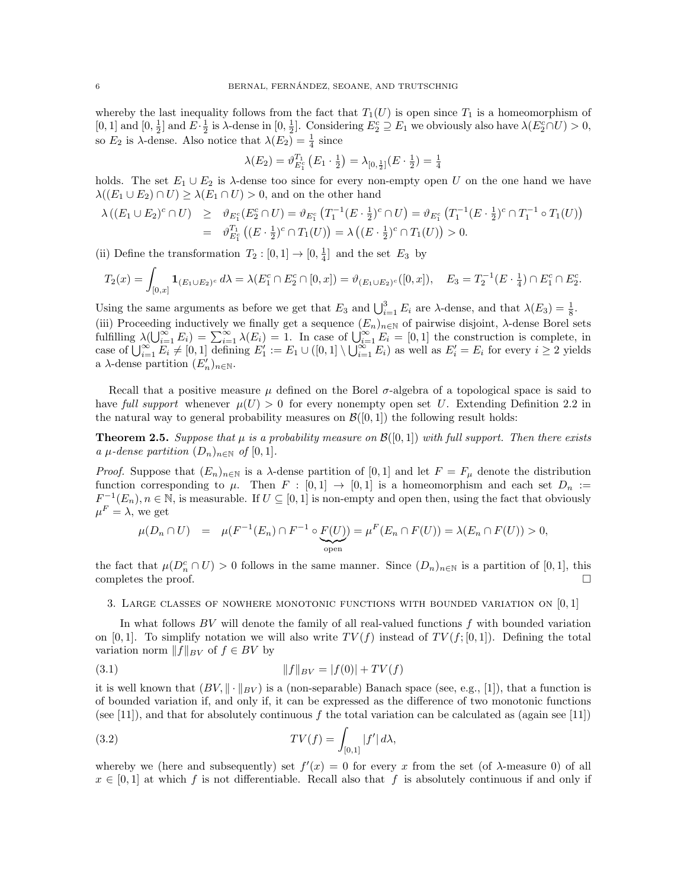whereby the last inequality follows from the fact that  $T_1(U)$  is open since  $T_1$  is a homeomorphism of [0, 1] and  $[0, \frac{1}{2}]$  and  $E \cdot \frac{1}{2}$  is  $\lambda$ -dense in  $[0, \frac{1}{2}]$ . Considering  $E_2^c \supseteq E_1$  we obviously also have  $\lambda(E_2^c \cap U) > 0$ , so  $E_2$  is  $\lambda$ -dense. Also notice that  $\lambda(E_2) = \frac{1}{4}$  since

$$
\lambda(E_2) = \vartheta_{E_1^c}^{T_1} \left( E_1 \cdot \frac{1}{2} \right) = \lambda_{[0, \frac{1}{2}]} \left( E \cdot \frac{1}{2} \right) = \frac{1}{4}
$$

holds. The set  $E_1 \cup E_2$  is  $\lambda$ -dense too since for every non-empty open U on the one hand we have  $\lambda((E_1 \cup E_2) \cap U) \geq \lambda(E_1 \cap U) > 0$ , and on the other hand

$$
\lambda ((E_1 \cup E_2)^c \cap U) \geq \vartheta_{E_1^c}(E_2^c \cap U) = \vartheta_{E_1^c}(T_1^{-1}(E \cdot \frac{1}{2})^c \cap U) = \vartheta_{E_1^c}(T_1^{-1}(E \cdot \frac{1}{2})^c \cap T_1^{-1} \circ T_1(U))
$$
  
=  $\vartheta_{E_1^c}^{T_1}((E \cdot \frac{1}{2})^c \cap T_1(U)) = \lambda ((E \cdot \frac{1}{2})^c \cap T_1(U)) > 0.$ 

(ii) Define the transformation  $T_2: [0,1] \to [0, \frac{1}{4}]$  and the set  $E_3$  by

$$
T_2(x) = \int_{[0,x]} \mathbf{1}_{(E_1 \cup E_2)^c} d\lambda = \lambda (E_1^c \cap E_2^c \cap [0,x]) = \vartheta_{(E_1 \cup E_2)^c}([0,x]), \quad E_3 = T_2^{-1}(E \cdot \frac{1}{4}) \cap E_1^c \cap E_2^c.
$$

Using the same arguments as before we get that  $E_3$  and  $\bigcup_{i=1}^3 E_i$  are  $\lambda$ -dense, and that  $\lambda(E_3) = \frac{1}{8}$ . (iii) Proceeding inductively we finally get a sequence  $(E_n)_{n\in\mathbb{N}}$  of pairwise disjoint,  $\lambda$ -dense Borel sets fulfilling  $\lambda(\bigcup_{i=1}^{\infty} E_i) = \sum_{i=1}^{\infty} \lambda(E_i) = 1$ . In case of  $\bigcup_{i=1}^{\infty} E_i = [0,1]$  the construction is complete, in case of  $\bigcup_{i=1}^{\infty} E_i = [0,1]$  defining  $E'_1 := E_1 \cup ([0,1] \setminus \bigcup_{i=1}^{\infty} E_i)$  as well as  $E'_i = E_i$  for every  $i \geq 2$  yields a  $\lambda$ -dense partition  $(E'_n)_{n\in\mathbb{N}}$ .

Recall that a positive measure  $\mu$  defined on the Borel  $\sigma$ -algebra of a topological space is said to have full support whenever  $\mu(U) > 0$  for every nonempty open set U. Extending Definition 2.2 in the natural way to general probability measures on  $\mathcal{B}([0,1])$  the following result holds:

**Theorem 2.5.** Suppose that  $\mu$  is a probability measure on  $\mathcal{B}([0,1])$  with full support. Then there exists a  $\mu$ -dense partition  $(D_n)_{n\in\mathbb{N}}$  of  $[0,1]$ .

*Proof.* Suppose that  $(E_n)_{n\in\mathbb{N}}$  is a  $\lambda$ -dense partition of [0, 1] and let  $F = F_\mu$  denote the distribution function corresponding to  $\mu$ . Then  $F : [0,1] \rightarrow [0,1]$  is a homeomorphism and each set  $D_n :=$  $F^{-1}(E_n), n \in \mathbb{N}$ , is measurable. If  $U \subseteq [0,1]$  is non-empty and open then, using the fact that obviously  $\mu^F = \lambda$ , we get

$$
\mu(D_n \cap U) = \mu(F^{-1}(E_n) \cap F^{-1} \circ \underbrace{F(U)}_{\text{open}}) = \mu^F(E_n \cap F(U)) = \lambda(E_n \cap F(U)) > 0,
$$

the fact that  $\mu(D_n^c \cap U) > 0$  follows in the same manner. Since  $(D_n)_{n \in \mathbb{N}}$  is a partition of [0, 1], this completes the proof.  $\Box$ 

3. LARGE CLASSES OF NOWHERE MONOTONIC FUNCTIONS WITH BOUNDED VARIATION ON  $[0, 1]$ 

In what follows  $BV$  will denote the family of all real-valued functions  $f$  with bounded variation on [0, 1]. To simplify notation we will also write  $TV(f)$  instead of  $TV(f; [0, 1])$ . Defining the total variation norm  $||f||_{BV}$  of  $f \in BV$  by

(3.1) 
$$
||f||_{BV} = |f(0)| + TV(f)
$$

it is well known that  $(BV, \|\cdot\|_{BV})$  is a (non-separable) Banach space (see, e.g., [1]), that a function is of bounded variation if, and only if, it can be expressed as the difference of two monotonic functions (see [11]), and that for absolutely continuous f the total variation can be calculated as (again see [11])

(3.2) 
$$
TV(f) = \int_{[0,1]} |f'| d\lambda,
$$

whereby we (here and subsequently) set  $f'(x) = 0$  for every x from the set (of  $\lambda$ -measure 0) of all  $x \in [0,1]$  at which f is not differentiable. Recall also that f is absolutely continuous if and only if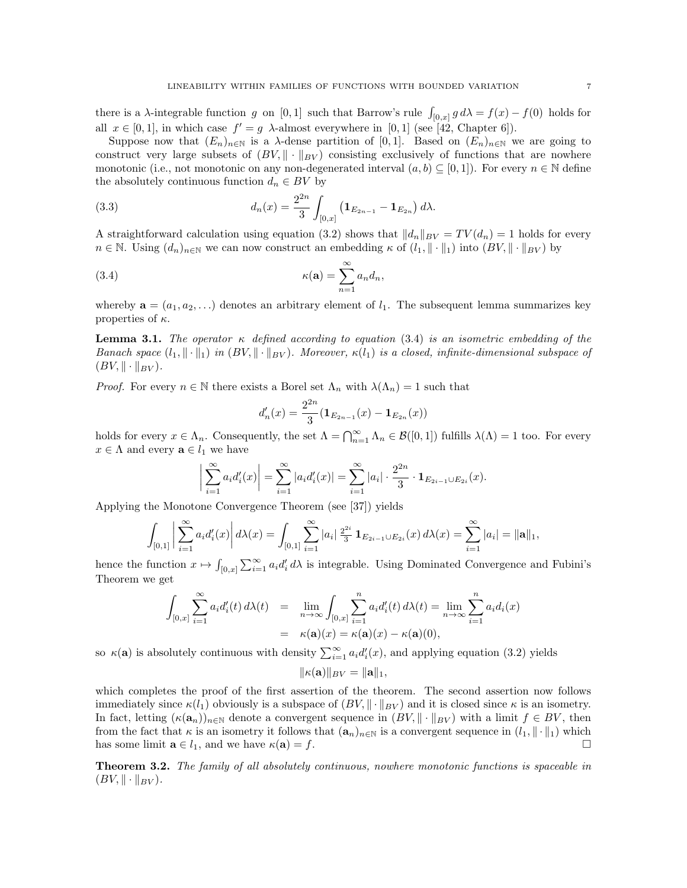there is a  $\lambda$ -integrable function g on [0,1] such that Barrow's rule  $\int_{[0,x]} g d\lambda = f(x) - f(0)$  holds for all  $x \in [0,1]$ , in which case  $f' = g$   $\lambda$ -almost everywhere in [0,1] (see [42, Chapter 6]).

Suppose now that  $(E_n)_{n\in\mathbb{N}}$  is a  $\lambda$ -dense partition of [0,1]. Based on  $(E_n)_{n\in\mathbb{N}}$  we are going to construct very large subsets of  $(BV, \|\cdot\|_{BV})$  consisting exclusively of functions that are nowhere monotonic (i.e., not monotonic on any non-degenerated interval  $(a, b) \subset [0, 1]$ ). For every  $n \in \mathbb{N}$  define the absolutely continuous function  $d_n \in BV$  by

(3.3) 
$$
d_n(x) = \frac{2^{2n}}{3} \int_{[0,x]} \left( \mathbf{1}_{E_{2n-1}} - \mathbf{1}_{E_{2n}} \right) d\lambda.
$$

A straightforward calculation using equation (3.2) shows that  $||d_n||_{BV} = TV(d_n) = 1$  holds for every  $n \in \mathbb{N}$ . Using  $(d_n)_{n \in \mathbb{N}}$  we can now construct an embedding  $\kappa$  of  $(l_1, \|\cdot\|_1)$  into  $(BV, \|\cdot\|_{BV})$  by

(3.4) 
$$
\kappa(\mathbf{a}) = \sum_{n=1}^{\infty} a_n d_n,
$$

whereby  $\mathbf{a} = (a_1, a_2, \ldots)$  denotes an arbitrary element of  $l_1$ . The subsequent lemma summarizes key properties of  $\kappa$ .

**Lemma 3.1.** The operator  $\kappa$  defined according to equation (3.4) is an isometric embedding of the Banach space  $(l_1, \|\cdot\|_1)$  in  $(BV, \|\cdot\|_{BV})$ . Moreover,  $\kappa(l_1)$  is a closed, infinite-dimensional subspace of  $(BV, \|\cdot\|_{BV}).$ 

*Proof.* For every  $n \in \mathbb{N}$  there exists a Borel set  $\Lambda_n$  with  $\lambda(\Lambda_n) = 1$  such that

$$
d'_{n}(x) = \frac{2^{2n}}{3} (\mathbf{1}_{E_{2n-1}}(x) - \mathbf{1}_{E_{2n}}(x))
$$

holds for every  $x \in \Lambda_n$ . Consequently, the set  $\Lambda = \bigcap_{n=1}^{\infty} \Lambda_n \in \mathcal{B}([0,1])$  fulfills  $\lambda(\Lambda) = 1$  too. For every  $x \in \Lambda$  and every  $\mathbf{a} \in l_1$  we have

$$
\left| \sum_{i=1}^{\infty} a_i d_i'(x) \right| = \sum_{i=1}^{\infty} |a_i d_i'(x)| = \sum_{i=1}^{\infty} |a_i| \cdot \frac{2^{2n}}{3} \cdot \mathbf{1}_{E_{2i-1} \cup E_{2i}}(x).
$$

Applying the Monotone Convergence Theorem (see [37]) yields

$$
\int_{[0,1]} \left| \sum_{i=1}^{\infty} a_i d_i'(x) \right| d\lambda(x) = \int_{[0,1]} \sum_{i=1}^{\infty} |a_i| \frac{2^{2i}}{3} \mathbf{1}_{E_{2i-1} \cup E_{2i}}(x) d\lambda(x) = \sum_{i=1}^{\infty} |a_i| = ||\mathbf{a}||_1,
$$

hence the function  $x \mapsto \int_{[0,x]} \sum_{i=1}^{\infty} a_i d_i' d\lambda$  is integrable. Using Dominated Convergence and Fubini's Theorem we get

$$
\int_{[0,x]} \sum_{i=1}^{\infty} a_i d'_i(t) d\lambda(t) = \lim_{n \to \infty} \int_{[0,x]} \sum_{i=1}^n a_i d'_i(t) d\lambda(t) = \lim_{n \to \infty} \sum_{i=1}^n a_i d_i(x)
$$
  
=  $\kappa(\mathbf{a})(x) = \kappa(\mathbf{a})(x) - \kappa(\mathbf{a})(0),$ 

so  $\kappa(\mathbf{a})$  is absolutely continuous with density  $\sum_{i=1}^{\infty} a_i d_i'(x)$ , and applying equation (3.2) yields

$$
\|\kappa(\mathbf{a})\|_{BV}=\|\mathbf{a}\|_1,
$$

which completes the proof of the first assertion of the theorem. The second assertion now follows immediately since  $\kappa(l_1)$  obviously is a subspace of  $(BV, \|\cdot\|_{BV})$  and it is closed since  $\kappa$  is an isometry. In fact, letting  $(\kappa(a_n))_{n\in\mathbb{N}}$  denote a convergent sequence in  $(BV, \|\cdot\|_{BV})$  with a limit  $f \in BV$ , then from the fact that  $\kappa$  is an isometry it follows that  $(\mathbf{a}_n)_{n\in\mathbb{N}}$  is a convergent sequence in  $(l_1, \|\cdot\|_1)$  which has some limit  $\mathbf{a} \in l_1$ , and we have  $\kappa(\mathbf{a}) = f$ .

Theorem 3.2. The family of all absolutely continuous, nowhere monotonic functions is spaceable in  $(BV, \|\cdot\|_{BV}).$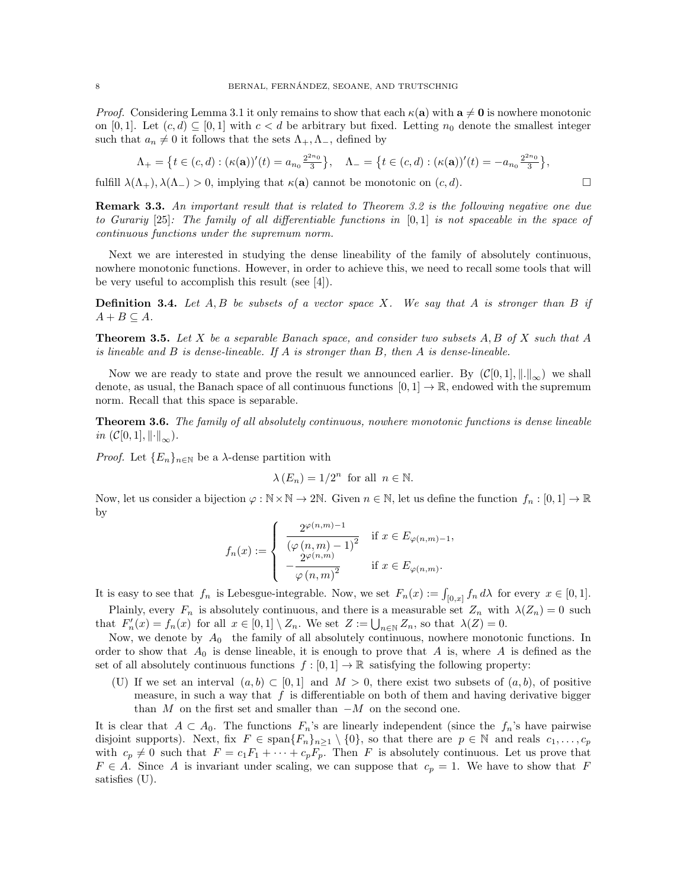*Proof.* Considering Lemma 3.1 it only remains to show that each  $\kappa(\mathbf{a})$  with  $\mathbf{a} \neq \mathbf{0}$  is nowhere monotonic on [0, 1]. Let  $(c, d) \subseteq [0, 1]$  with  $c < d$  be arbitrary but fixed. Letting  $n_0$  denote the smallest integer such that  $a_n \neq 0$  it follows that the sets  $\Lambda_+, \Lambda_-,$  defined by

$$
\Lambda_{+} = \left\{ t \in (c,d) : (\kappa(\mathbf{a}))'(t) = a_{n_0} \frac{2^{2n_0}}{3} \right\}, \quad \Lambda_{-} = \left\{ t \in (c,d) : (\kappa(\mathbf{a}))'(t) = -a_{n_0} \frac{2^{2n_0}}{3} \right\},
$$

fulfill  $\lambda(\Lambda_+), \lambda(\Lambda_-) > 0$ , implying that  $\kappa(\mathbf{a})$  cannot be monotonic on  $(c, d)$ .

**Remark 3.3.** An important result that is related to Theorem 3.2 is the following negative one due to Gurariy [25]: The family of all differentiable functions in [0, 1] is not spaceable in the space of continuous functions under the supremum norm.

Next we are interested in studying the dense lineability of the family of absolutely continuous, nowhere monotonic functions. However, in order to achieve this, we need to recall some tools that will be very useful to accomplish this result (see [4]).

**Definition 3.4.** Let  $A, B$  be subsets of a vector space X. We say that A is stronger than B if  $A + B \subseteq A$ .

**Theorem 3.5.** Let X be a separable Banach space, and consider two subsets  $A, B$  of X such that  $A$ is lineable and  $B$  is dense-lineable. If  $A$  is stronger than  $B$ , then  $A$  is dense-lineable.

Now we are ready to state and prove the result we announced earlier. By  $(C[0,1], \|.\|_{\infty})$  we shall denote, as usual, the Banach space of all continuous functions  $[0, 1] \rightarrow \mathbb{R}$ , endowed with the supremum norm. Recall that this space is separable.

**Theorem 3.6.** The family of all absolutely continuous, nowhere monotonic functions is dense lineable in  $(C[0,1], \left\|\cdot\right\|_{\infty}).$ 

*Proof.* Let  ${E_n}_{n\in\mathbb{N}}$  be a  $\lambda$ -dense partition with

$$
\lambda(E_n) = 1/2^n \text{ for all } n \in \mathbb{N}.
$$

Now, let us consider a bijection  $\varphi : \mathbb{N} \times \mathbb{N} \to 2\mathbb{N}$ . Given  $n \in \mathbb{N}$ , let us define the function  $f_n : [0, 1] \to \mathbb{R}$ by

$$
f_n(x) := \begin{cases} \frac{2^{\varphi(n,m)-1}}{\left(\varphi(n,m)-1\right)^2} & \text{if } x \in E_{\varphi(n,m)-1}, \\ -\frac{2^{\varphi(n,m)}}{\varphi(n,m)^2} & \text{if } x \in E_{\varphi(n,m)}. \end{cases}
$$

It is easy to see that  $f_n$  is Lebesgue-integrable. Now, we set  $F_n(x) := \int_{[0,x]} f_n d\lambda$  for every  $x \in [0,1]$ . Plainly, every  $F_n$  is absolutely continuous, and there is a measurable set  $Z_n$  with  $\lambda(Z_n) = 0$  such that  $F'_n(x) = f_n(x)$  for all  $x \in [0,1] \setminus Z_n$ . We set  $Z := \bigcup_{n \in \mathbb{N}} Z_n$ , so that  $\lambda(Z) = 0$ .

Now, we denote by  $A_0$  the family of all absolutely continuous, nowhere monotonic functions. In order to show that  $A_0$  is dense lineable, it is enough to prove that A is, where A is defined as the set of all absolutely continuous functions  $f : [0, 1] \to \mathbb{R}$  satisfying the following property:

(U) If we set an interval  $(a, b) \subset [0, 1]$  and  $M > 0$ , there exist two subsets of  $(a, b)$ , of positive measure, in such a way that  $f$  is differentiable on both of them and having derivative bigger than  $M$  on the first set and smaller than  $-M$  on the second one.

It is clear that  $A \subset A_0$ . The functions  $F_n$ 's are linearly independent (since the  $f_n$ 's have pairwise disjoint supports). Next, fix  $F \in \text{span}\{F_n\}_{n\geq 1} \setminus \{0\}$ , so that there are  $p \in \mathbb{N}$  and reals  $c_1, \ldots, c_p$ with  $c_p \neq 0$  such that  $F = c_1F_1 + \cdots + c_pF_p$ . Then F is absolutely continuous. Let us prove that  $F \in A$ . Since A is invariant under scaling, we can suppose that  $c_p = 1$ . We have to show that F satisfies (U).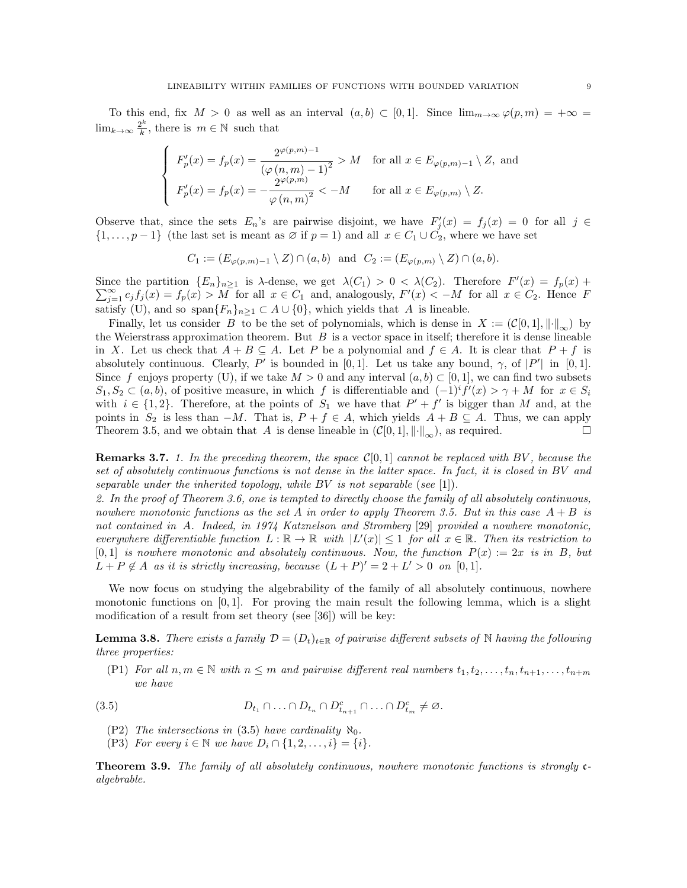To this end, fix  $M > 0$  as well as an interval  $(a, b) \subset [0, 1]$ . Since  $\lim_{m\to\infty} \varphi(p, m) = +\infty$  $\lim_{k\to\infty}\frac{2^k}{k}$  $\frac{2^k}{k}$ , there is  $m \in \mathbb{N}$  such that

$$
\begin{cases}\nF'_p(x) = f_p(x) = \frac{2^{\varphi(p,m)-1}}{\left(\varphi(n,m)-1\right)^2} > M \quad \text{for all } x \in E_{\varphi(p,m)-1} \setminus Z, \text{ and} \\
F'_p(x) = f_p(x) = -\frac{2^{\varphi(p,m)}}{\varphi(n,m)^2} < -M \quad \text{for all } x \in E_{\varphi(p,m)} \setminus Z.\n\end{cases}
$$

Observe that, since the sets  $E_n$ 's are pairwise disjoint, we have  $F'_j(x) = f_j(x) = 0$  for all  $j \in$  $\{1,\ldots,p-1\}$  (the last set is meant as  $\emptyset$  if  $p=1$ ) and all  $x \in C_1 \cup C_2$ , where we have set

$$
C_1 := (E_{\varphi(p,m)-1} \setminus Z) \cap (a,b) \text{ and } C_2 := (E_{\varphi(p,m)} \setminus Z) \cap (a,b).
$$

Since the partition  $\{E_n\}_{n\geq 1}$  is  $\lambda$ -dense, we get  $\lambda(C_1) > 0 < \lambda(C_2)$ . Therefore  $F'(x) = f_p(x) +$  $\sum_{j=1}^{\infty} c_j f_j(x) = f_p(x) > M$  for all  $x \in C_1$  and, analogously,  $F'(x) < -M$  for all  $x \in C_2$ . Hence F satisfy (U), and so span ${F_n}_{n\geq 1} \subset A \cup \{0\}$ , which yields that A is lineable.

Finally, let us consider B to be the set of polynomials, which is dense in  $X := (\mathcal{C}[0,1], \|\cdot\|_{\infty})$  by the Weierstrass approximation theorem. But  $B$  is a vector space in itself; therefore it is dense lineable in X. Let us check that  $A + B \subseteq A$ . Let P be a polynomial and  $f \in A$ . It is clear that  $P + f$  is absolutely continuous. Clearly, P' is bounded in [0,1]. Let us take any bound,  $\gamma$ , of  $|P'|$  in [0,1]. Since f enjoys property (U), if we take  $M > 0$  and any interval  $(a, b) \subset [0, 1]$ , we can find two subsets  $S_1, S_2 \subset (a, b)$ , of positive measure, in which f is differentiable and  $(-1)^i f'(x) > \gamma + M$  for  $x \in S_i$ with  $i \in \{1,2\}$ . Therefore, at the points of  $S_1$  we have that  $P' + f'$  is bigger than M and, at the points in  $S_2$  is less than  $-M$ . That is,  $P + f \in A$ , which yields  $A + B \subseteq A$ . Thus, we can apply Theorem 3.5, and we obtain that A is dense lineable in  $(\mathcal{C}[0, 1], \|\cdot\|_{\infty})$ , as required.

**Remarks 3.7.** 1. In the preceding theorem, the space  $\mathcal{C}[0,1]$  cannot be replaced with BV, because the set of absolutely continuous functions is not dense in the latter space. In fact, it is closed in BV and separable under the inherited topology, while BV is not separable (see [1]).

2. In the proof of Theorem 3.6, one is tempted to directly choose the family of all absolutely continuous, nowhere monotonic functions as the set A in order to apply Theorem 3.5. But in this case  $A + B$  is not contained in A. Indeed, in 1974 Katznelson and Stromberg [29] provided a nowhere monotonic, everywhere differentiable function  $L : \mathbb{R} \to \mathbb{R}$  with  $|L'(x)| \leq 1$  for all  $x \in \mathbb{R}$ . Then its restriction to  $[0,1]$  is nowhere monotonic and absolutely continuous. Now, the function  $P(x) := 2x$  is in B, but  $L + P \notin A$  as it is strictly increasing, because  $(L + P)' = 2 + L' > 0$  on [0,1].

We now focus on studying the algebrability of the family of all absolutely continuous, nowhere monotonic functions on  $[0, 1]$ . For proving the main result the following lemma, which is a slight modification of a result from set theory (see [36]) will be key:

**Lemma 3.8.** There exists a family  $\mathcal{D} = (D_t)_{t \in \mathbb{R}}$  of pairwise different subsets of N having the following three properties:

(P1) For all  $n, m \in \mathbb{N}$  with  $n \leq m$  and pairwise different real numbers  $t_1, t_2, \ldots, t_n, t_{n+1}, \ldots, t_{n+m}$ we have

(3.5) 
$$
D_{t_1} \cap \ldots \cap D_{t_n} \cap D_{t_{n+1}}^c \cap \ldots \cap D_{t_m}^c \neq \emptyset.
$$

- (P2) The intersections in (3.5) have cardinality  $\aleph_0$ .
- (P3) For every  $i \in \mathbb{N}$  we have  $D_i \cap \{1, 2, \ldots, i\} = \{i\}.$

Theorem 3.9. The family of all absolutely continuous, nowhere monotonic functions is strongly calgebrable.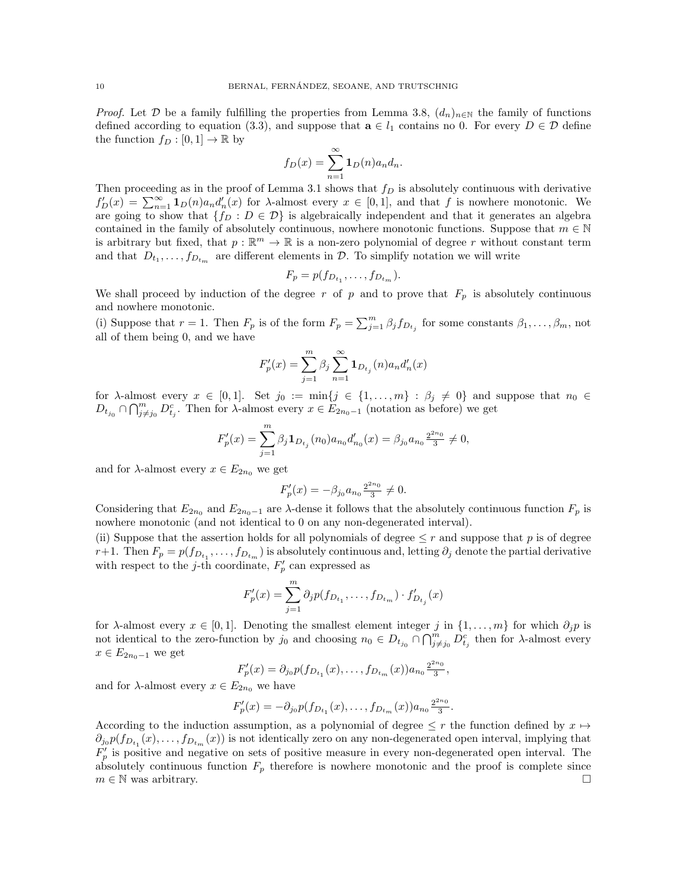*Proof.* Let  $D$  be a family fulfilling the properties from Lemma 3.8,  $(d_n)_{n\in\mathbb{N}}$  the family of functions defined according to equation (3.3), and suppose that  $\mathbf{a} \in l_1$  contains no 0. For every  $D \in \mathcal{D}$  define the function  $f_D : [0,1] \to \mathbb{R}$  by

$$
f_D(x) = \sum_{n=1}^{\infty} \mathbf{1}_D(n) a_n d_n.
$$

Then proceeding as in the proof of Lemma 3.1 shows that  $f<sub>D</sub>$  is absolutely continuous with derivative  $f'_D(x) = \sum_{n=1}^{\infty} \mathbf{1}_D(n) a_n d'_n(x)$  for  $\lambda$ -almost every  $x \in [0,1]$ , and that f is nowhere monotonic. We are going to show that  $\{f_D : D \in \mathcal{D}\}\$ is algebraically independent and that it generates an algebra contained in the family of absolutely continuous, nowhere monotonic functions. Suppose that  $m \in \mathbb{N}$ is arbitrary but fixed, that  $p : \mathbb{R}^m \to \mathbb{R}$  is a non-zero polynomial of degree r without constant term and that  $D_{t_1}, \ldots, f_{D_{t_m}}$  are different elements in  $\mathcal{D}$ . To simplify notation we will write

$$
F_p = p(f_{D_{t_1}}, \ldots, f_{D_{t_m}}).
$$

We shall proceed by induction of the degree r of p and to prove that  $F_p$  is absolutely continuous and nowhere monotonic.

(i) Suppose that  $r = 1$ . Then  $F_p$  is of the form  $F_p = \sum_{j=1}^m \beta_j f_{D_{t_j}}$  for some constants  $\beta_1, \ldots, \beta_m$ , not all of them being 0, and we have

$$
F_p'(x)=\sum_{j=1}^m\beta_j\sum_{n=1}^\infty\mathbf{1}_{D_{t_j}}(n)a_nd'_n(x)
$$

for  $\lambda$ -almost every  $x \in [0,1]$ . Set  $j_0 := \min\{j \in \{1,\ldots,m\} : \beta_j \neq 0\}$  and suppose that  $n_0 \in$  $D_{t_{j_0}} \cap \bigcap_{j \neq j_0}^m D_{t_j}^c$ . Then for  $\lambda$ -almost every  $x \in E_{2n_0-1}$  (notation as before) we get

$$
F'_p(x) = \sum_{j=1}^m \beta_j \mathbf{1}_{D_{t_j}}(n_0) a_{n_0} d'_{n_0}(x) = \beta_{j_0} a_{n_0} \frac{2^{2n_0}}{3} \neq 0,
$$

and for  $\lambda$ -almost every  $x \in E_{2n_0}$  we get

$$
F_p'(x) = -\beta_{j_0} a_{n_0} \frac{2^{2n_0}}{3} \neq 0.
$$

Considering that  $E_{2n_0}$  and  $E_{2n_0-1}$  are  $\lambda$ -dense it follows that the absolutely continuous function  $F_p$  is nowhere monotonic (and not identical to 0 on any non-degenerated interval).

(ii) Suppose that the assertion holds for all polynomials of degree  $\leq r$  and suppose that p is of degree r+1. Then  $F_p = p(f_{D_{t_1}}, \ldots, f_{D_{t_m}})$  is absolutely continuous and, letting  $\partial_j$  denote the partial derivative with respect to the j-th coordinate,  $F'_p$  can expressed as

$$
F'_p(x) = \sum_{j=1}^m \partial_j p(f_{D_{t_1}}, \dots, f_{D_{t_m}}) \cdot f'_{D_{t_j}}(x)
$$

for  $\lambda$ -almost every  $x \in [0,1]$ . Denoting the smallest element integer j in  $\{1,\ldots,m\}$  for which  $\partial_i p$  is not identical to the zero-function by  $j_0$  and choosing  $n_0 \in D_{t_{j_0}} \cap \bigcap_{j \neq j_0}^{m} D_{t_j}^c$  then for  $\lambda$ -almost every  $x \in E_{2n_0-1}$  we get

$$
F'_p(x) = \partial_{j_0} p(f_{D_{t_1}}(x), \dots, f_{D_{t_m}}(x)) a_{n_0} \frac{2^{2n_0}}{3},
$$

and for  $\lambda$ -almost every  $x \in E_{2n_0}$  we have

$$
F'_p(x) = -\partial_{j_0} p(f_{D_{t_1}}(x), \dots, f_{D_{t_m}}(x)) a_{n_0} \frac{2^{2n_0}}{3}.
$$

According to the induction assumption, as a polynomial of degree  $\leq r$  the function defined by  $x \mapsto$  $\partial_{j_0} p(f_{D_{t_1}}(x),...,f_{D_{t_m}}(x))$  is not identically zero on any non-degenerated open interval, implying that  $F'_p$  is positive and negative on sets of positive measure in every non-degenerated open interval. The absolutely continuous function  $F_p$  therefore is nowhere monotonic and the proof is complete since  $m \in \mathbb{N}$  was arbitrary.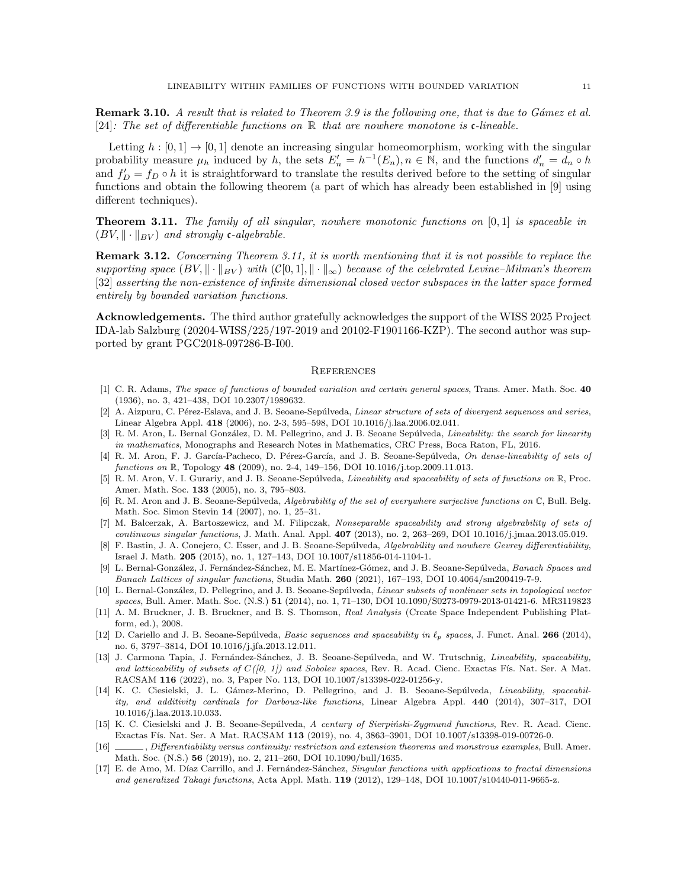**Remark 3.10.** A result that is related to Theorem 3.9 is the following one, that is due to Gámez et al. [24]: The set of differentiable functions on  $\mathbb R$  that are nowhere monotone is c-lineable.

Letting  $h : [0,1] \rightarrow [0,1]$  denote an increasing singular homeomorphism, working with the singular probability measure  $\mu_h$  induced by h, the sets  $E'_n = h^{-1}(E_n)$ ,  $n \in \mathbb{N}$ , and the functions  $d'_n = d_n \circ h$ and  $f'_D = f_D \circ h$  it is straightforward to translate the results derived before to the setting of singular functions and obtain the following theorem (a part of which has already been established in [9] using different techniques).

**Theorem 3.11.** The family of all singular, nowhere monotonic functions on  $[0, 1]$  is spaceable in  $(BV, \|\cdot\|_{BV})$  and strongly c-algebrable.

Remark 3.12. Concerning Theorem 3.11, it is worth mentioning that it is not possible to replace the supporting space  $(BV, \|\cdot\|_{BV})$  with  $(C[0, 1], \|\cdot\|_{\infty})$  because of the celebrated Levine–Milman's theorem [32] asserting the non-existence of infinite dimensional closed vector subspaces in the latter space formed entirely by bounded variation functions.

Acknowledgements. The third author gratefully acknowledges the support of the WISS 2025 Project IDA-lab Salzburg (20204-WISS/225/197-2019 and 20102-F1901166-KZP). The second author was supported by grant PGC2018-097286-B-I00.

### **REFERENCES**

- [1] C. R. Adams, The space of functions of bounded variation and certain general spaces, Trans. Amer. Math. Soc. 40 (1936), no. 3, 421–438, DOI 10.2307/1989632.
- [2] A. Aizpuru, C. Pérez-Eslava, and J. B. Seoane-Sepúlveda, Linear structure of sets of divergent sequences and series, Linear Algebra Appl. 418 (2006), no. 2-3, 595–598, DOI 10.1016/j.laa.2006.02.041.
- [3] R. M. Aron, L. Bernal González, D. M. Pellegrino, and J. B. Seoane Sepúlveda, Lineability: the search for linearity in mathematics, Monographs and Research Notes in Mathematics, CRC Press, Boca Raton, FL, 2016.
- [4] R. M. Aron, F. J. García-Pacheco, D. Pérez-García, and J. B. Seoane-Sepúlveda, On dense-lineability of sets of functions on R, Topology 48 (2009), no. 2-4, 149-156, DOI 10.1016/j.top.2009.11.013.
- [5] R. M. Aron, V. I. Gurariy, and J. B. Seoane-Sepúlveda, *Lineability and spaceability of sets of functions on*  $\mathbb{R}$ , Proc. Amer. Math. Soc. 133 (2005), no. 3, 795–803.
- [6] R. M. Aron and J. B. Seoane-Sepúlveda, Algebrability of the set of everywhere surjective functions on  $\mathbb{C}$ , Bull. Belg. Math. Soc. Simon Stevin 14 (2007), no. 1, 25–31.
- [7] M. Balcerzak, A. Bartoszewicz, and M. Filipczak, Nonseparable spaceability and strong algebrability of sets of continuous singular functions, J. Math. Anal. Appl. 407 (2013), no. 2, 263–269, DOI 10.1016/j.jmaa.2013.05.019.
- [8] F. Bastin, J. A. Conejero, C. Esser, and J. B. Seoane-Sepúlveda, Algebrability and nowhere Gevrey differentiability, Israel J. Math. 205 (2015), no. 1, 127–143, DOI 10.1007/s11856-014-1104-1.
- [9] L. Bernal-González, J. Fernández-Sánchez, M. E. Martínez-Gómez, and J. B. Seoane-Sepúlveda, Banach Spaces and Banach Lattices of singular functions, Studia Math. 260 (2021), 167–193, DOI 10.4064/sm200419-7-9.
- [10] L. Bernal-González, D. Pellegrino, and J. B. Seoane-Sepúlveda, Linear subsets of nonlinear sets in topological vector spaces, Bull. Amer. Math. Soc. (N.S.) 51 (2014), no. 1, 71–130, DOI 10.1090/S0273-0979-2013-01421-6. MR3119823
- [11] A. M. Bruckner, J. B. Bruckner, and B. S. Thomson, Real Analysis (Create Space Independent Publishing Platform, ed.), 2008.
- [12] D. Cariello and J. B. Seoane-Sepúlveda, *Basic sequences and spaceability in*  $\ell_p$  spaces, J. Funct. Anal. **266** (2014), no. 6, 3797–3814, DOI 10.1016/j.jfa.2013.12.011.
- [13] J. Carmona Tapia, J. Fernández-Sánchez, J. B. Seoane-Sepúlveda, and W. Trutschnig, Lineability, spaceability, and latticeability of subsets of  $C((0, 1))$  and Sobolev spaces, Rev. R. Acad. Cienc. Exactas Fís. Nat. Ser. A Mat. RACSAM 116 (2022), no. 3, Paper No. 113, DOI 10.1007/s13398-022-01256-y.
- [14] K. C. Ciesielski, J. L. Gámez-Merino, D. Pellegrino, and J. B. Seoane-Sepúlveda, Lineability, spaceability, and additivity cardinals for Darboux-like functions, Linear Algebra Appl. 440 (2014), 307–317, DOI 10.1016/j.laa.2013.10.033.
- [15] K. C. Ciesielski and J. B. Seoane-Sepúlveda, A century of Sierpiński-Zygmund functions, Rev. R. Acad. Cienc. Exactas Fís. Nat. Ser. A Mat. RACSAM 113 (2019), no. 4, 3863-3901, DOI 10.1007/s13398-019-00726-0.
- [16] , Differentiability versus continuity: restriction and extension theorems and monstrous examples, Bull. Amer. Math. Soc. (N.S.) 56 (2019), no. 2, 211–260, DOI 10.1090/bull/1635.
- [17] E. de Amo, M. Díaz Carrillo, and J. Fernández-Sánchez, Singular functions with applications to fractal dimensions and generalized Takagi functions, Acta Appl. Math. 119 (2012), 129–148, DOI 10.1007/s10440-011-9665-z.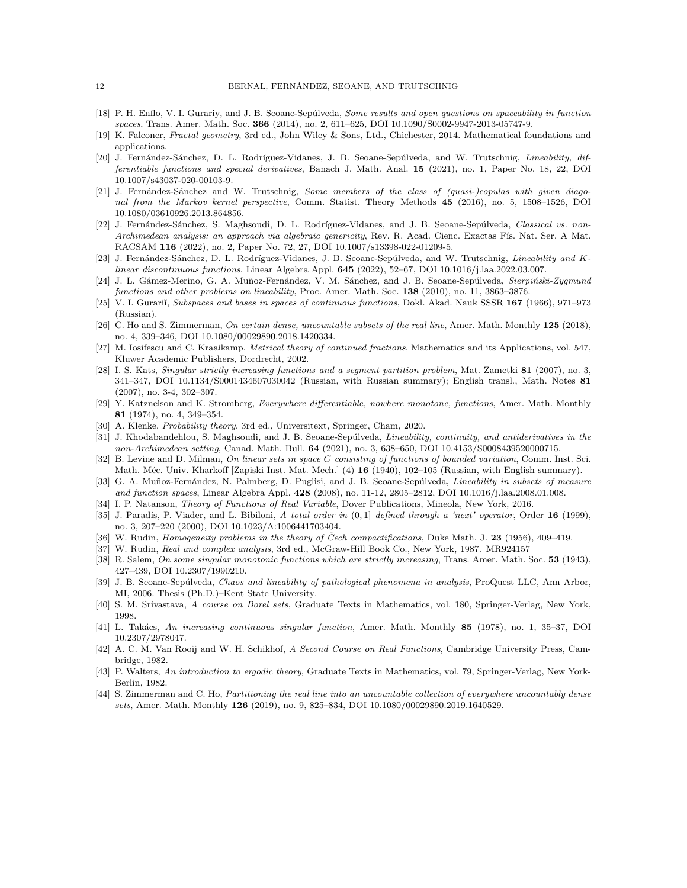- [18] P. H. Enflo, V. I. Gurariy, and J. B. Seoane-Sepúlveda, Some results and open questions on spaceability in function spaces, Trans. Amer. Math. Soc. 366 (2014), no. 2, 611–625, DOI 10.1090/S0002-9947-2013-05747-9.
- [19] K. Falconer, Fractal geometry, 3rd ed., John Wiley & Sons, Ltd., Chichester, 2014. Mathematical foundations and applications.
- [20] J. Fernández-Sánchez, D. L. Rodríguez-Vidanes, J. B. Seoane-Sepúlveda, and W. Trutschnig, Lineability, differentiable functions and special derivatives, Banach J. Math. Anal. 15 (2021), no. 1, Paper No. 18, 22, DOI 10.1007/s43037-020-00103-9.
- [21] J. Fernández-Sánchez and W. Trutschnig, Some members of the class of (quasi-)copulas with given diagonal from the Markov kernel perspective, Comm. Statist. Theory Methods 45 (2016), no. 5, 1508–1526, DOI 10.1080/03610926.2013.864856.
- [22] J. Fernández-Sánchez, S. Maghsoudi, D. L. Rodríguez-Vidanes, and J. B. Seoane-Sepúlveda, Classical vs. non-Archimedean analysis: an approach via algebraic genericity, Rev. R. Acad. Cienc. Exactas Fís. Nat. Ser. A Mat. RACSAM 116 (2022), no. 2, Paper No. 72, 27, DOI 10.1007/s13398-022-01209-5.
- [23] J. Fernández-Sánchez, D. L. Rodríguez-Vidanes, J. B. Seoane-Sepúlveda, and W. Trutschnig, Lineability and Klinear discontinuous functions, Linear Algebra Appl. 645 (2022), 52–67, DOI 10.1016/j.laa.2022.03.007.
- [24] J. L. Gámez-Merino, G. A. Muñoz-Fernández, V. M. Sánchez, and J. B. Seoane-Sepúlveda, Sierpiński-Zygmund functions and other problems on lineability, Proc. Amer. Math. Soc. 138 (2010), no. 11, 3863–3876.
- [25] V. I. Gurariĭ, Subspaces and bases in spaces of continuous functions, Dokl. Akad. Nauk SSSR 167 (1966), 971–973 (Russian).
- [26] C. Ho and S. Zimmerman, On certain dense, uncountable subsets of the real line, Amer. Math. Monthly 125 (2018), no. 4, 339–346, DOI 10.1080/00029890.2018.1420334.
- [27] M. Iosifescu and C. Kraaikamp, Metrical theory of continued fractions, Mathematics and its Applications, vol. 547, Kluwer Academic Publishers, Dordrecht, 2002.
- [28] I. S. Kats, Singular strictly increasing functions and a segment partition problem, Mat. Zametki 81 (2007), no. 3, 341–347, DOI 10.1134/S0001434607030042 (Russian, with Russian summary); English transl., Math. Notes 81 (2007), no. 3-4, 302–307.
- [29] Y. Katznelson and K. Stromberg, Everywhere differentiable, nowhere monotone, functions, Amer. Math. Monthly 81 (1974), no. 4, 349–354.
- [30] A. Klenke, *Probability theory*, 3rd ed., Universitext, Springer, Cham, 2020.
- [31] J. Khodabandehlou, S. Maghsoudi, and J. B. Seoane-Sepúlveda, Lineability, continuity, and antiderivatives in the non-Archimedean setting, Canad. Math. Bull. 64 (2021), no. 3, 638–650, DOI 10.4153/S0008439520000715.
- [32] B. Levine and D. Milman, On linear sets in space C consisting of functions of bounded variation, Comm. Inst. Sci. Math. Méc. Univ. Kharkoff [Zapiski Inst. Mat. Mech.] (4) 16 (1940), 102–105 (Russian, with English summary).
- [33] G. A. Muñoz-Fernández, N. Palmberg, D. Puglisi, and J. B. Seoane-Sepúlveda, Lineability in subsets of measure and function spaces, Linear Algebra Appl. 428 (2008), no. 11-12, 2805–2812, DOI 10.1016/j.laa.2008.01.008.
- [34] I. P. Natanson, Theory of Functions of Real Variable, Dover Publications, Mineola, New York, 2016.
- [35] J. Paradís, P. Viader, and L. Bibiloni, A total order in  $(0,1]$  defined through a 'next' operator, Order 16 (1999), no. 3, 207–220 (2000), DOI 10.1023/A:1006441703404.
- [36] W. Rudin, *Homogeneity problems in the theory of Čech compactifications*, Duke Math. J. 23 (1956), 409–419.
- [37] W. Rudin, Real and complex analysis, 3rd ed., McGraw-Hill Book Co., New York, 1987. MR924157
- [38] R. Salem, *On some singular monotonic functions which are strictly increasing*, Trans. Amer. Math. Soc. 53 (1943), 427–439, DOI 10.2307/1990210.
- [39] J. B. Seoane-Sepúlveda, Chaos and lineability of pathological phenomena in analysis, ProQuest LLC, Ann Arbor, MI, 2006. Thesis (Ph.D.)–Kent State University.
- [40] S. M. Srivastava, A course on Borel sets, Graduate Texts in Mathematics, vol. 180, Springer-Verlag, New York, 1998.
- [41] L. Takács, An increasing continuous singular function, Amer. Math. Monthly 85 (1978), no. 1, 35–37, DOI 10.2307/2978047.
- [42] A. C. M. Van Rooij and W. H. Schikhof, A Second Course on Real Functions, Cambridge University Press, Cambridge, 1982.
- [43] P. Walters, An introduction to ergodic theory, Graduate Texts in Mathematics, vol. 79, Springer-Verlag, New York-Berlin, 1982.
- [44] S. Zimmerman and C. Ho, Partitioning the real line into an uncountable collection of everywhere uncountably dense sets, Amer. Math. Monthly 126 (2019), no. 9, 825–834, DOI 10.1080/00029890.2019.1640529.